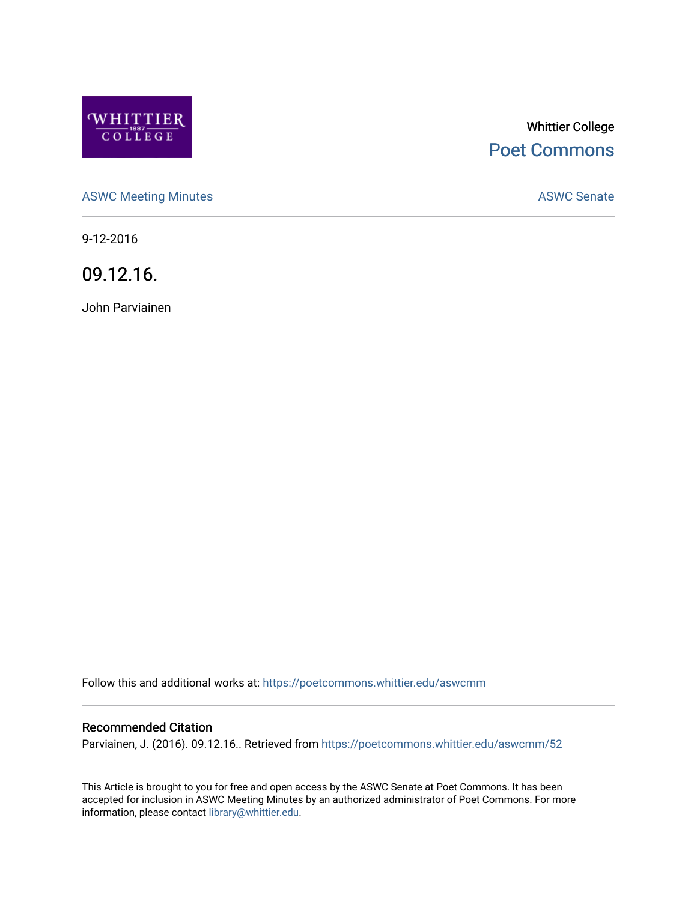

# Whittier College [Poet Commons](https://poetcommons.whittier.edu/)

[ASWC Meeting Minutes](https://poetcommons.whittier.edu/aswcmm) **ASWC Senate** 

9-12-2016

09.12.16.

John Parviainen

Follow this and additional works at: [https://poetcommons.whittier.edu/aswcmm](https://poetcommons.whittier.edu/aswcmm?utm_source=poetcommons.whittier.edu%2Faswcmm%2F52&utm_medium=PDF&utm_campaign=PDFCoverPages)

#### Recommended Citation

Parviainen, J. (2016). 09.12.16.. Retrieved from [https://poetcommons.whittier.edu/aswcmm/52](https://poetcommons.whittier.edu/aswcmm/52?utm_source=poetcommons.whittier.edu%2Faswcmm%2F52&utm_medium=PDF&utm_campaign=PDFCoverPages)

This Article is brought to you for free and open access by the ASWC Senate at Poet Commons. It has been accepted for inclusion in ASWC Meeting Minutes by an authorized administrator of Poet Commons. For more information, please contact [library@whittier.edu.](mailto:library@whittier.edu)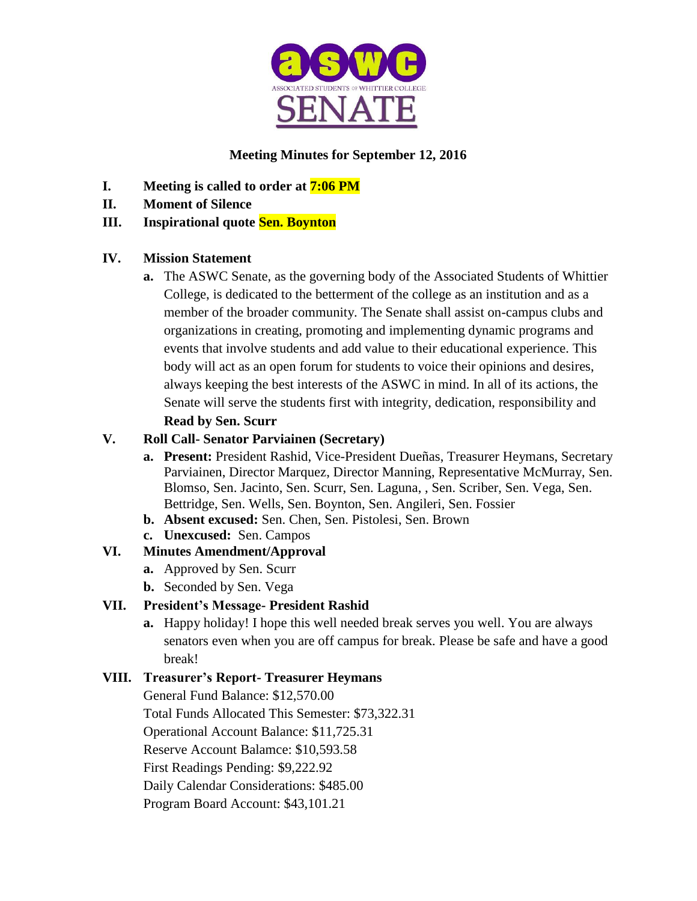

# **Meeting Minutes for September 12, 2016**

- **I. Meeting is called to order at 7:06 PM**
- **II. Moment of Silence**

# **III. Inspirational quote Sen. Boynton**

# **IV. Mission Statement**

**a.** The ASWC Senate, as the governing body of the Associated Students of Whittier College, is dedicated to the betterment of the college as an institution and as a member of the broader community. The Senate shall assist on-campus clubs and organizations in creating, promoting and implementing dynamic programs and events that involve students and add value to their educational experience. This body will act as an open forum for students to voice their opinions and desires, always keeping the best interests of the ASWC in mind. In all of its actions, the Senate will serve the students first with integrity, dedication, responsibility and **Read by Sen. Scurr**

# **V. Roll Call- Senator Parviainen (Secretary)**

- **a. Present:** President Rashid, Vice-President Dueñas, Treasurer Heymans, Secretary Parviainen, Director Marquez, Director Manning, Representative McMurray, Sen. Blomso, Sen. Jacinto, Sen. Scurr, Sen. Laguna, , Sen. Scriber, Sen. Vega, Sen. Bettridge, Sen. Wells, Sen. Boynton, Sen. Angileri, Sen. Fossier
- **b. Absent excused:** Sen. Chen, Sen. Pistolesi, Sen. Brown
- **c. Unexcused:** Sen. Campos

# **VI. Minutes Amendment/Approval**

- **a.** Approved by Sen. Scurr
- **b.** Seconded by Sen. Vega

# **VII. President's Message- President Rashid**

**a.** Happy holiday! I hope this well needed break serves you well. You are always senators even when you are off campus for break. Please be safe and have a good break!

# **VIII. Treasurer's Report- Treasurer Heymans**

General Fund Balance: \$12,570.00 Total Funds Allocated This Semester: \$73,322.31 Operational Account Balance: \$11,725.31 Reserve Account Balamce: \$10,593.58 First Readings Pending: \$9,222.92 Daily Calendar Considerations: \$485.00 Program Board Account: \$43,101.21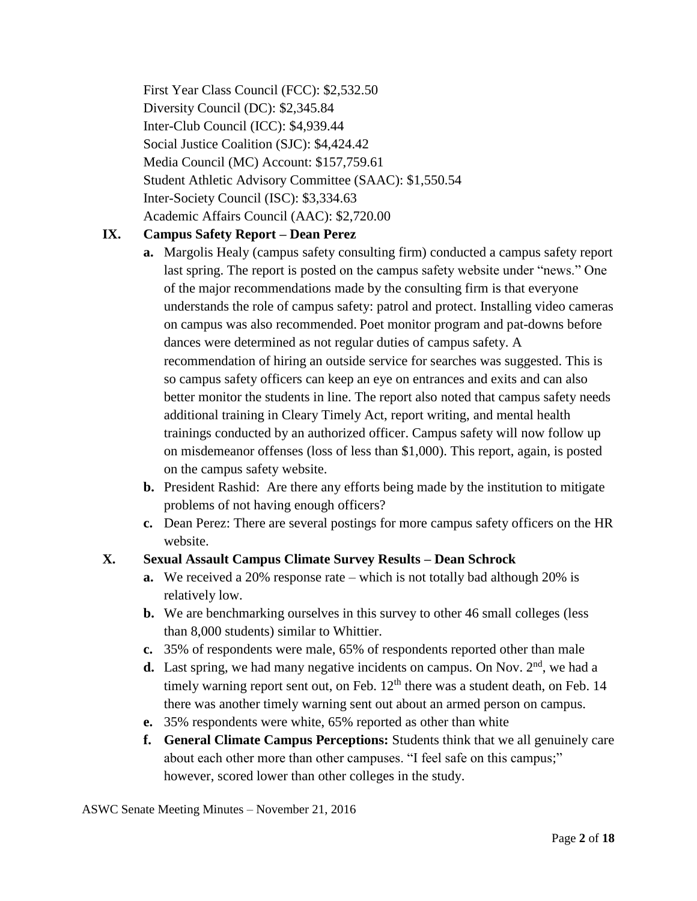First Year Class Council (FCC): \$2,532.50 Diversity Council (DC): \$2,345.84 Inter-Club Council (ICC): \$4,939.44 Social Justice Coalition (SJC): \$4,424.42 Media Council (MC) Account: \$157,759.61 Student Athletic Advisory Committee (SAAC): \$1,550.54 Inter-Society Council (ISC): \$3,334.63 Academic Affairs Council (AAC): \$2,720.00

### **IX. Campus Safety Report – Dean Perez**

- **a.** Margolis Healy (campus safety consulting firm) conducted a campus safety report last spring. The report is posted on the campus safety website under "news." One of the major recommendations made by the consulting firm is that everyone understands the role of campus safety: patrol and protect. Installing video cameras on campus was also recommended. Poet monitor program and pat-downs before dances were determined as not regular duties of campus safety. A recommendation of hiring an outside service for searches was suggested. This is so campus safety officers can keep an eye on entrances and exits and can also better monitor the students in line. The report also noted that campus safety needs additional training in Cleary Timely Act, report writing, and mental health trainings conducted by an authorized officer. Campus safety will now follow up on misdemeanor offenses (loss of less than \$1,000). This report, again, is posted on the campus safety website.
- **b.** President Rashid: Are there any efforts being made by the institution to mitigate problems of not having enough officers?
- **c.** Dean Perez: There are several postings for more campus safety officers on the HR website.

# **X. Sexual Assault Campus Climate Survey Results – Dean Schrock**

- **a.** We received a 20% response rate which is not totally bad although 20% is relatively low.
- **b.** We are benchmarking ourselves in this survey to other 46 small colleges (less than 8,000 students) similar to Whittier.
- **c.** 35% of respondents were male, 65% of respondents reported other than male
- **d.** Last spring, we had many negative incidents on campus. On Nov.  $2<sup>nd</sup>$ , we had a timely warning report sent out, on Feb.  $12<sup>th</sup>$  there was a student death, on Feb. 14 there was another timely warning sent out about an armed person on campus.
- **e.** 35% respondents were white, 65% reported as other than white
- **f. General Climate Campus Perceptions:** Students think that we all genuinely care about each other more than other campuses. "I feel safe on this campus;" however, scored lower than other colleges in the study.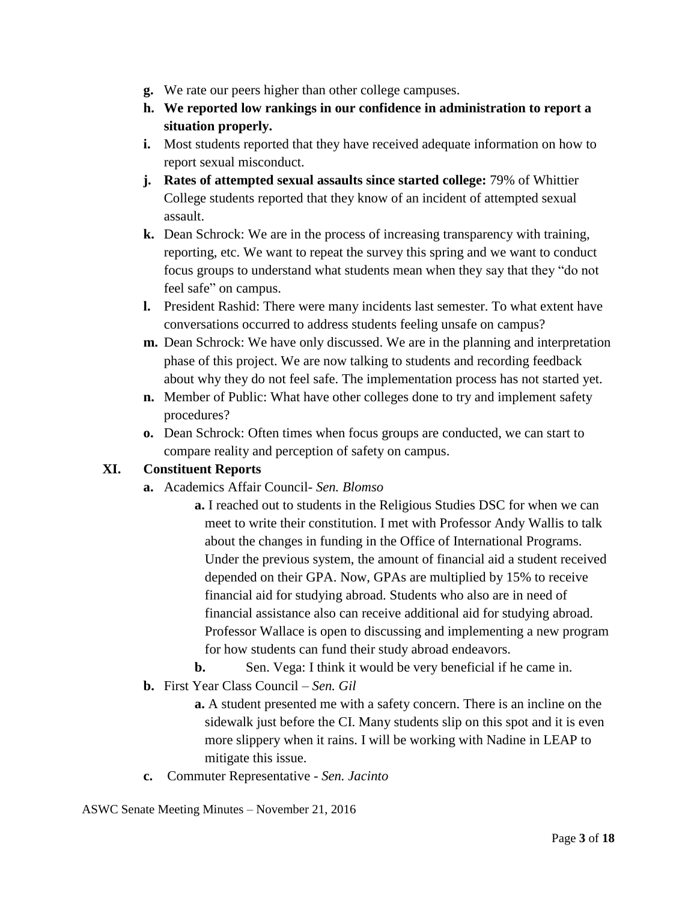- **g.** We rate our peers higher than other college campuses.
- **h. We reported low rankings in our confidence in administration to report a situation properly.**
- **i.** Most students reported that they have received adequate information on how to report sexual misconduct.
- **j. Rates of attempted sexual assaults since started college:** 79% of Whittier College students reported that they know of an incident of attempted sexual assault.
- **k.** Dean Schrock: We are in the process of increasing transparency with training, reporting, etc. We want to repeat the survey this spring and we want to conduct focus groups to understand what students mean when they say that they "do not feel safe" on campus.
- **l.** President Rashid: There were many incidents last semester. To what extent have conversations occurred to address students feeling unsafe on campus?
- **m.** Dean Schrock: We have only discussed. We are in the planning and interpretation phase of this project. We are now talking to students and recording feedback about why they do not feel safe. The implementation process has not started yet.
- **n.** Member of Public: What have other colleges done to try and implement safety procedures?
- **o.** Dean Schrock: Often times when focus groups are conducted, we can start to compare reality and perception of safety on campus.

### **XI. Constituent Reports**

- **a.** Academics Affair Council- *Sen. Blomso*
	- **a.** I reached out to students in the Religious Studies DSC for when we can meet to write their constitution. I met with Professor Andy Wallis to talk about the changes in funding in the Office of International Programs. Under the previous system, the amount of financial aid a student received depended on their GPA. Now, GPAs are multiplied by 15% to receive financial aid for studying abroad. Students who also are in need of financial assistance also can receive additional aid for studying abroad. Professor Wallace is open to discussing and implementing a new program for how students can fund their study abroad endeavors.

**b.** Sen. Vega: I think it would be very beneficial if he came in.

**b.** First Year Class Council – *Sen. Gil*

**a.** A student presented me with a safety concern. There is an incline on the sidewalk just before the CI. Many students slip on this spot and it is even more slippery when it rains. I will be working with Nadine in LEAP to mitigate this issue.

**c.** Commuter Representative - *Sen. Jacinto*

ASWC Senate Meeting Minutes – November 21, 2016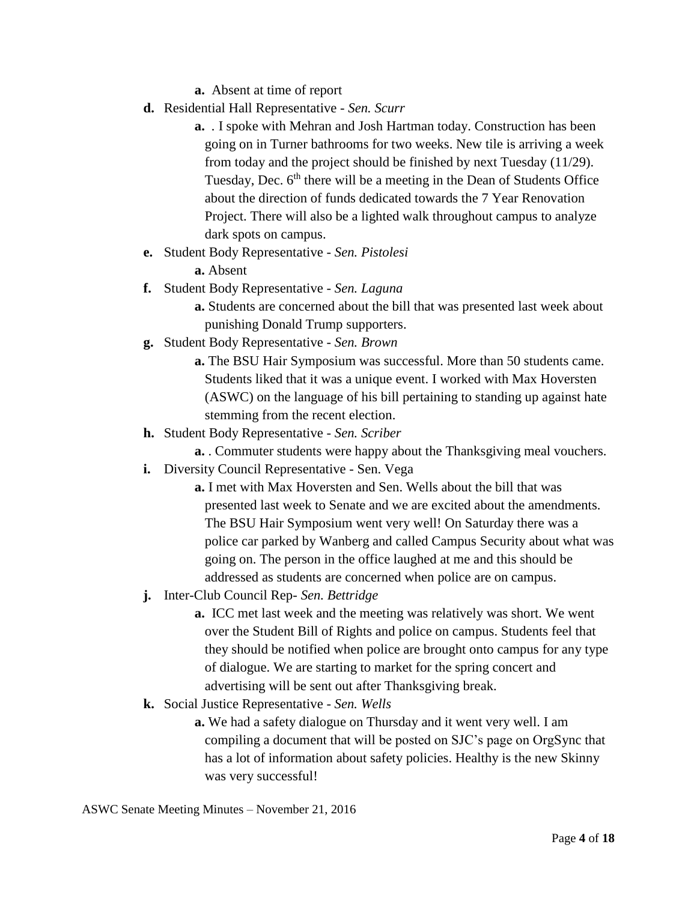**a.** Absent at time of report

- **d.** Residential Hall Representative *Sen. Scurr*
	- **a.** *.* I spoke with Mehran and Josh Hartman today. Construction has been going on in Turner bathrooms for two weeks. New tile is arriving a week from today and the project should be finished by next Tuesday (11/29). Tuesday, Dec.  $6<sup>th</sup>$  there will be a meeting in the Dean of Students Office about the direction of funds dedicated towards the 7 Year Renovation Project. There will also be a lighted walk throughout campus to analyze dark spots on campus.
- **e.** Student Body Representative *Sen. Pistolesi*
	- **a.** Absent
- **f.** Student Body Representative *Sen. Laguna*
	- **a.** Students are concerned about the bill that was presented last week about punishing Donald Trump supporters.
- **g.** Student Body Representative *Sen. Brown*
	- **a.** The BSU Hair Symposium was successful. More than 50 students came. Students liked that it was a unique event. I worked with Max Hoversten (ASWC) on the language of his bill pertaining to standing up against hate stemming from the recent election.
- **h.** Student Body Representative *Sen. Scriber*
	- **a.** . Commuter students were happy about the Thanksgiving meal vouchers.
- **i.** Diversity Council Representative Sen. Vega
	- **a.** I met with Max Hoversten and Sen. Wells about the bill that was presented last week to Senate and we are excited about the amendments. The BSU Hair Symposium went very well! On Saturday there was a police car parked by Wanberg and called Campus Security about what was going on. The person in the office laughed at me and this should be addressed as students are concerned when police are on campus.
- **j.** Inter-Club Council Rep- *Sen. Bettridge*
	- **a.** ICC met last week and the meeting was relatively was short. We went over the Student Bill of Rights and police on campus. Students feel that they should be notified when police are brought onto campus for any type of dialogue. We are starting to market for the spring concert and advertising will be sent out after Thanksgiving break.
- **k.** Social Justice Representative *Sen. Wells*
	- **a.** We had a safety dialogue on Thursday and it went very well. I am compiling a document that will be posted on SJC's page on OrgSync that has a lot of information about safety policies. Healthy is the new Skinny was very successful!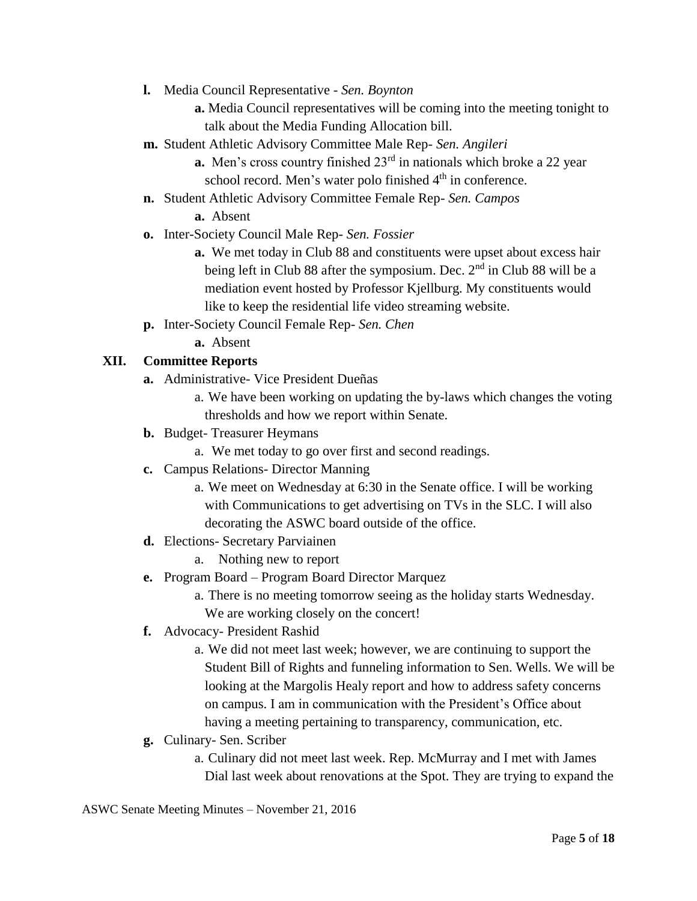**l.** Media Council Representative - *Sen. Boynton*

**a.** Media Council representatives will be coming into the meeting tonight to talk about the Media Funding Allocation bill.

- **m.** Student Athletic Advisory Committee Male Rep- *Sen. Angileri*
	- **a.** Men's cross country finished 23<sup>rd</sup> in nationals which broke a 22 year school record. Men's water polo finished 4<sup>th</sup> in conference.
- **n.** Student Athletic Advisory Committee Female Rep- *Sen. Campos*

**a.** Absent

- **o.** Inter-Society Council Male Rep- *Sen. Fossier*
	- **a.** We met today in Club 88 and constituents were upset about excess hair being left in Club 88 after the symposium. Dec. 2<sup>nd</sup> in Club 88 will be a mediation event hosted by Professor Kjellburg. My constituents would like to keep the residential life video streaming website.
- **p.** Inter-Society Council Female Rep- *Sen. Chen*
	- **a.** Absent

# **XII. Committee Reports**

- **a.** Administrative- Vice President Dueñas
	- a. We have been working on updating the by-laws which changes the voting thresholds and how we report within Senate.
- **b.** Budget- Treasurer Heymans
	- a. We met today to go over first and second readings.
- **c.** Campus Relations- Director Manning
	- a. We meet on Wednesday at 6:30 in the Senate office. I will be working with Communications to get advertising on TVs in the SLC. I will also decorating the ASWC board outside of the office.
- **d.** Elections- Secretary Parviainen
	- a. Nothing new to report
- **e.** Program Board Program Board Director Marquez

a. There is no meeting tomorrow seeing as the holiday starts Wednesday. We are working closely on the concert!

- **f.** Advocacy- President Rashid
	- a. We did not meet last week; however, we are continuing to support the Student Bill of Rights and funneling information to Sen. Wells. We will be looking at the Margolis Healy report and how to address safety concerns on campus. I am in communication with the President's Office about having a meeting pertaining to transparency, communication, etc.
- **g.** Culinary- Sen. Scriber
	- a. Culinary did not meet last week. Rep. McMurray and I met with James Dial last week about renovations at the Spot. They are trying to expand the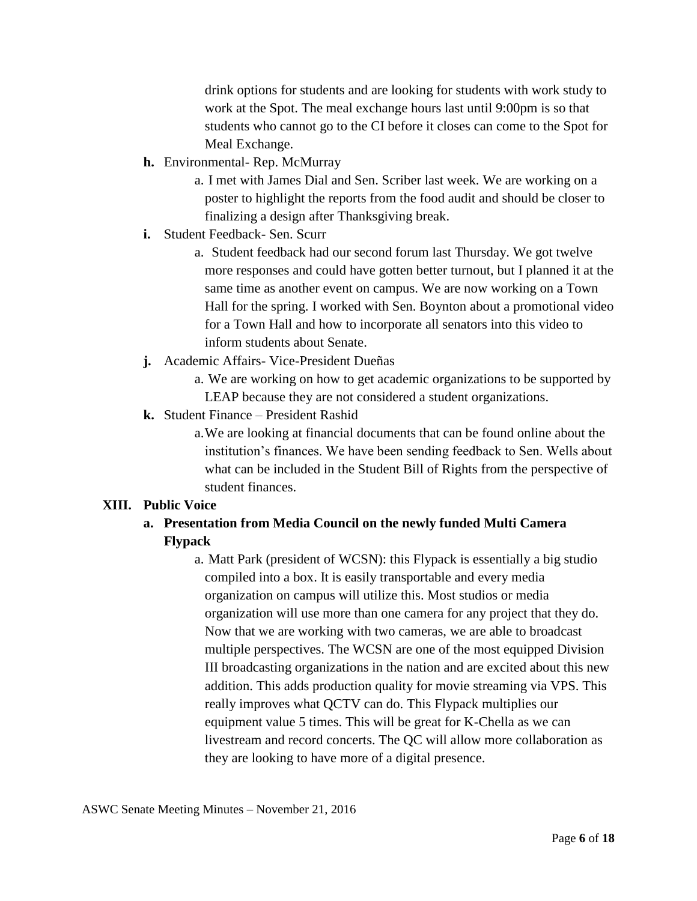drink options for students and are looking for students with work study to work at the Spot. The meal exchange hours last until 9:00pm is so that students who cannot go to the CI before it closes can come to the Spot for Meal Exchange.

- **h.** Environmental- Rep. McMurray
	- a. I met with James Dial and Sen. Scriber last week. We are working on a poster to highlight the reports from the food audit and should be closer to finalizing a design after Thanksgiving break.
- **i.** Student Feedback- Sen. Scurr
	- a. Student feedback had our second forum last Thursday. We got twelve more responses and could have gotten better turnout, but I planned it at the same time as another event on campus. We are now working on a Town Hall for the spring. I worked with Sen. Boynton about a promotional video for a Town Hall and how to incorporate all senators into this video to inform students about Senate.
- **j.** Academic Affairs- Vice-President Dueñas
	- a. We are working on how to get academic organizations to be supported by LEAP because they are not considered a student organizations.
- **k.** Student Finance President Rashid
	- a.We are looking at financial documents that can be found online about the institution's finances. We have been sending feedback to Sen. Wells about what can be included in the Student Bill of Rights from the perspective of student finances.

#### **XIII. Public Voice**

- **a. Presentation from Media Council on the newly funded Multi Camera Flypack** 
	- a. Matt Park (president of WCSN): this Flypack is essentially a big studio compiled into a box. It is easily transportable and every media organization on campus will utilize this. Most studios or media organization will use more than one camera for any project that they do. Now that we are working with two cameras, we are able to broadcast multiple perspectives. The WCSN are one of the most equipped Division III broadcasting organizations in the nation and are excited about this new addition. This adds production quality for movie streaming via VPS. This really improves what QCTV can do. This Flypack multiplies our equipment value 5 times. This will be great for K-Chella as we can livestream and record concerts. The QC will allow more collaboration as they are looking to have more of a digital presence.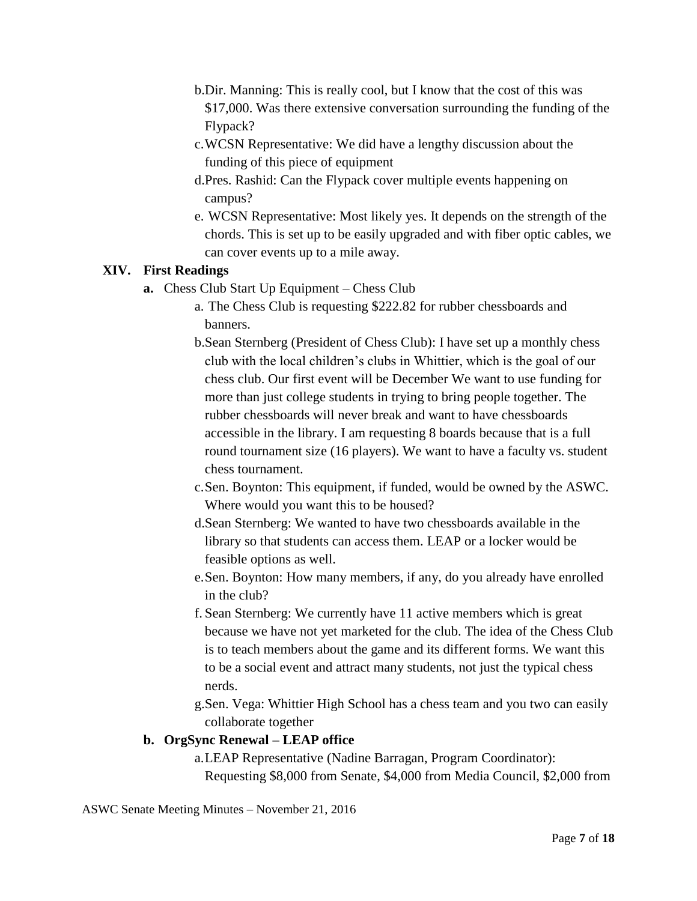- b.Dir. Manning: This is really cool, but I know that the cost of this was \$17,000. Was there extensive conversation surrounding the funding of the Flypack?
- c.WCSN Representative: We did have a lengthy discussion about the funding of this piece of equipment
- d.Pres. Rashid: Can the Flypack cover multiple events happening on campus?
- e. WCSN Representative: Most likely yes. It depends on the strength of the chords. This is set up to be easily upgraded and with fiber optic cables, we can cover events up to a mile away.

### **XIV. First Readings**

- **a.** Chess Club Start Up Equipment Chess Club
	- a. The Chess Club is requesting \$222.82 for rubber chessboards and banners.
	- b.Sean Sternberg (President of Chess Club): I have set up a monthly chess club with the local children's clubs in Whittier, which is the goal of our chess club. Our first event will be December We want to use funding for more than just college students in trying to bring people together. The rubber chessboards will never break and want to have chessboards accessible in the library. I am requesting 8 boards because that is a full round tournament size (16 players). We want to have a faculty vs. student chess tournament.
	- c.Sen. Boynton: This equipment, if funded, would be owned by the ASWC. Where would you want this to be housed?
	- d.Sean Sternberg: We wanted to have two chessboards available in the library so that students can access them. LEAP or a locker would be feasible options as well.
	- e.Sen. Boynton: How many members, if any, do you already have enrolled in the club?
	- f. Sean Sternberg: We currently have 11 active members which is great because we have not yet marketed for the club. The idea of the Chess Club is to teach members about the game and its different forms. We want this to be a social event and attract many students, not just the typical chess nerds.
	- g.Sen. Vega: Whittier High School has a chess team and you two can easily collaborate together

#### **b. OrgSync Renewal – LEAP office**

a.LEAP Representative (Nadine Barragan, Program Coordinator): Requesting \$8,000 from Senate, \$4,000 from Media Council, \$2,000 from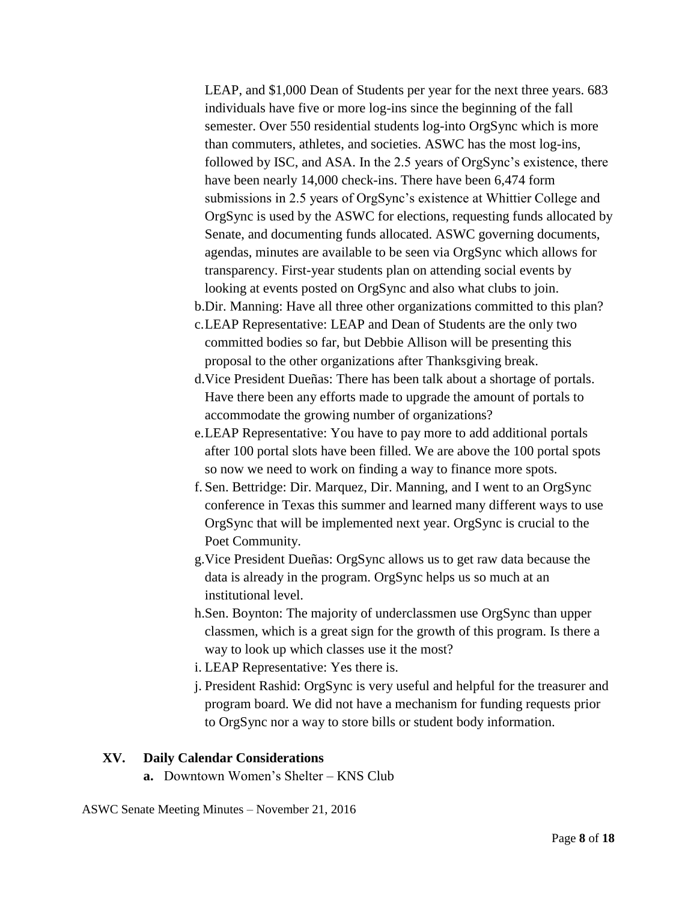LEAP, and \$1,000 Dean of Students per year for the next three years. 683 individuals have five or more log-ins since the beginning of the fall semester. Over 550 residential students log-into OrgSync which is more than commuters, athletes, and societies. ASWC has the most log-ins, followed by ISC, and ASA. In the 2.5 years of OrgSync's existence, there have been nearly 14,000 check-ins. There have been 6,474 form submissions in 2.5 years of OrgSync's existence at Whittier College and OrgSync is used by the ASWC for elections, requesting funds allocated by Senate, and documenting funds allocated. ASWC governing documents, agendas, minutes are available to be seen via OrgSync which allows for transparency. First-year students plan on attending social events by looking at events posted on OrgSync and also what clubs to join.

- b.Dir. Manning: Have all three other organizations committed to this plan?
- c.LEAP Representative: LEAP and Dean of Students are the only two committed bodies so far, but Debbie Allison will be presenting this proposal to the other organizations after Thanksgiving break.
- d.Vice President Dueñas: There has been talk about a shortage of portals. Have there been any efforts made to upgrade the amount of portals to accommodate the growing number of organizations?
- e.LEAP Representative: You have to pay more to add additional portals after 100 portal slots have been filled. We are above the 100 portal spots so now we need to work on finding a way to finance more spots.
- f. Sen. Bettridge: Dir. Marquez, Dir. Manning, and I went to an OrgSync conference in Texas this summer and learned many different ways to use OrgSync that will be implemented next year. OrgSync is crucial to the Poet Community.
- g.Vice President Dueñas: OrgSync allows us to get raw data because the data is already in the program. OrgSync helps us so much at an institutional level.
- h.Sen. Boynton: The majority of underclassmen use OrgSync than upper classmen, which is a great sign for the growth of this program. Is there a way to look up which classes use it the most?
- i. LEAP Representative: Yes there is.
- j. President Rashid: OrgSync is very useful and helpful for the treasurer and program board. We did not have a mechanism for funding requests prior to OrgSync nor a way to store bills or student body information.

#### **XV. Daily Calendar Considerations**

**a.** Downtown Women's Shelter – KNS Club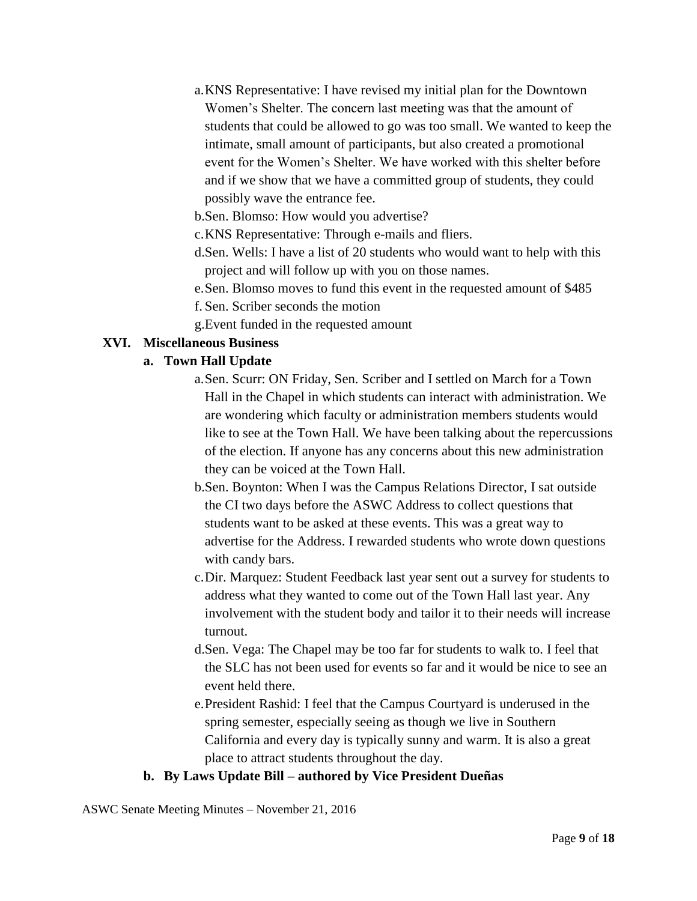- a.KNS Representative: I have revised my initial plan for the Downtown Women's Shelter. The concern last meeting was that the amount of students that could be allowed to go was too small. We wanted to keep the intimate, small amount of participants, but also created a promotional event for the Women's Shelter. We have worked with this shelter before and if we show that we have a committed group of students, they could possibly wave the entrance fee.
- b.Sen. Blomso: How would you advertise?
- c.KNS Representative: Through e-mails and fliers.
- d.Sen. Wells: I have a list of 20 students who would want to help with this project and will follow up with you on those names.
- e.Sen. Blomso moves to fund this event in the requested amount of \$485
- f. Sen. Scriber seconds the motion
- g.Event funded in the requested amount

# **XVI. Miscellaneous Business**

#### **a. Town Hall Update**

- a.Sen. Scurr: ON Friday, Sen. Scriber and I settled on March for a Town Hall in the Chapel in which students can interact with administration. We are wondering which faculty or administration members students would like to see at the Town Hall. We have been talking about the repercussions of the election. If anyone has any concerns about this new administration they can be voiced at the Town Hall.
- b.Sen. Boynton: When I was the Campus Relations Director, I sat outside the CI two days before the ASWC Address to collect questions that students want to be asked at these events. This was a great way to advertise for the Address. I rewarded students who wrote down questions with candy bars.
- c.Dir. Marquez: Student Feedback last year sent out a survey for students to address what they wanted to come out of the Town Hall last year. Any involvement with the student body and tailor it to their needs will increase turnout.
- d.Sen. Vega: The Chapel may be too far for students to walk to. I feel that the SLC has not been used for events so far and it would be nice to see an event held there.
- e.President Rashid: I feel that the Campus Courtyard is underused in the spring semester, especially seeing as though we live in Southern California and every day is typically sunny and warm. It is also a great place to attract students throughout the day.

### **b. By Laws Update Bill – authored by Vice President Dueñas**

ASWC Senate Meeting Minutes – November 21, 2016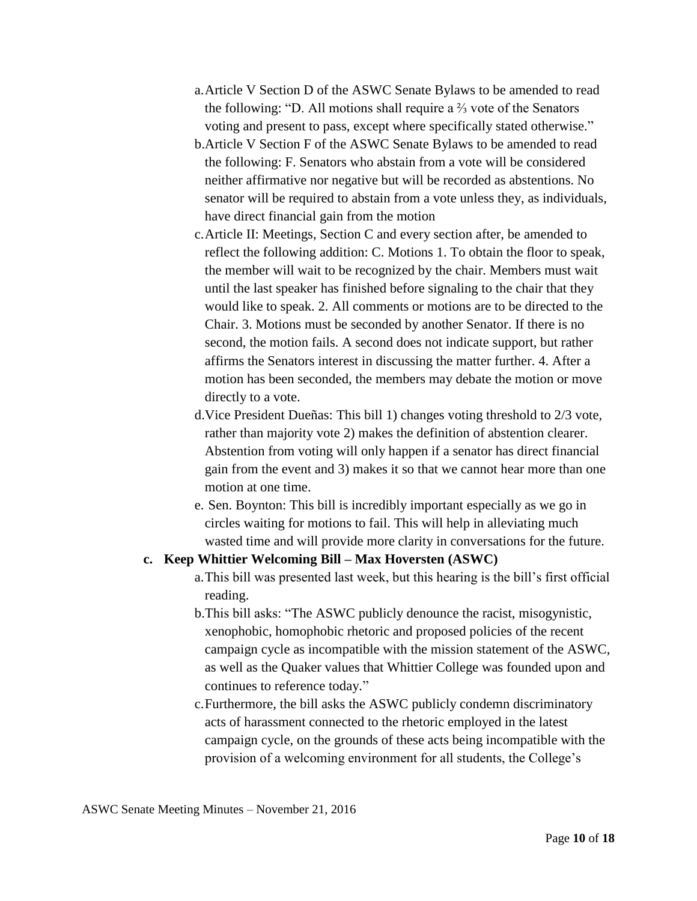- a.Article V Section D of the ASWC Senate Bylaws to be amended to read the following: "D. All motions shall require a ⅔ vote of the Senators voting and present to pass, except where specifically stated otherwise."
- b.Article V Section F of the ASWC Senate Bylaws to be amended to read the following: F. Senators who abstain from a vote will be considered neither affirmative nor negative but will be recorded as abstentions. No senator will be required to abstain from a vote unless they, as individuals, have direct financial gain from the motion
- c.Article II: Meetings, Section C and every section after, be amended to reflect the following addition: C. Motions 1. To obtain the floor to speak, the member will wait to be recognized by the chair. Members must wait until the last speaker has finished before signaling to the chair that they would like to speak. 2. All comments or motions are to be directed to the Chair. 3. Motions must be seconded by another Senator. If there is no second, the motion fails. A second does not indicate support, but rather affirms the Senators interest in discussing the matter further. 4. After a motion has been seconded, the members may debate the motion or move directly to a vote.
- d.Vice President Dueñas: This bill 1) changes voting threshold to 2/3 vote, rather than majority vote 2) makes the definition of abstention clearer. Abstention from voting will only happen if a senator has direct financial gain from the event and 3) makes it so that we cannot hear more than one motion at one time.
- e. Sen. Boynton: This bill is incredibly important especially as we go in circles waiting for motions to fail. This will help in alleviating much wasted time and will provide more clarity in conversations for the future.

### **c. Keep Whittier Welcoming Bill – Max Hoversten (ASWC)**

- a.This bill was presented last week, but this hearing is the bill's first official reading.
- b.This bill asks: "The ASWC publicly denounce the racist, misogynistic, xenophobic, homophobic rhetoric and proposed policies of the recent campaign cycle as incompatible with the mission statement of the ASWC, as well as the Quaker values that Whittier College was founded upon and continues to reference today."
- c.Furthermore, the bill asks the ASWC publicly condemn discriminatory acts of harassment connected to the rhetoric employed in the latest campaign cycle, on the grounds of these acts being incompatible with the provision of a welcoming environment for all students, the College's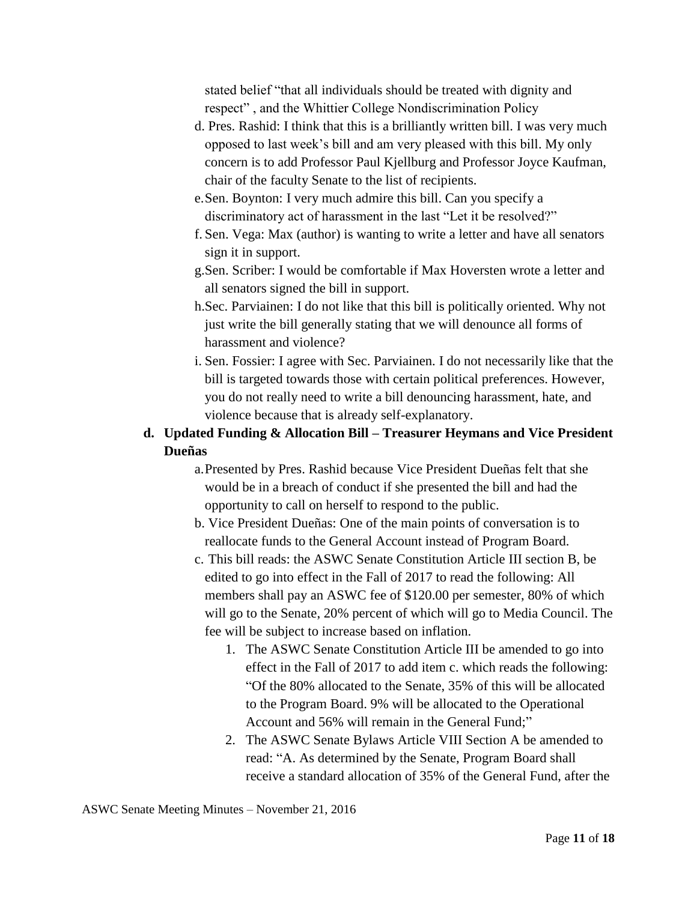stated belief "that all individuals should be treated with dignity and respect" , and the Whittier College Nondiscrimination Policy

- d. Pres. Rashid: I think that this is a brilliantly written bill. I was very much opposed to last week's bill and am very pleased with this bill. My only concern is to add Professor Paul Kjellburg and Professor Joyce Kaufman, chair of the faculty Senate to the list of recipients.
- e.Sen. Boynton: I very much admire this bill. Can you specify a discriminatory act of harassment in the last "Let it be resolved?"
- f. Sen. Vega: Max (author) is wanting to write a letter and have all senators sign it in support.
- g.Sen. Scriber: I would be comfortable if Max Hoversten wrote a letter and all senators signed the bill in support.
- h.Sec. Parviainen: I do not like that this bill is politically oriented. Why not just write the bill generally stating that we will denounce all forms of harassment and violence?
- i. Sen. Fossier: I agree with Sec. Parviainen. I do not necessarily like that the bill is targeted towards those with certain political preferences. However, you do not really need to write a bill denouncing harassment, hate, and violence because that is already self-explanatory.
- **d. Updated Funding & Allocation Bill – Treasurer Heymans and Vice President Dueñas**
	- a.Presented by Pres. Rashid because Vice President Dueñas felt that she would be in a breach of conduct if she presented the bill and had the opportunity to call on herself to respond to the public.
	- b. Vice President Dueñas: One of the main points of conversation is to reallocate funds to the General Account instead of Program Board.
	- c. This bill reads: the ASWC Senate Constitution Article III section B, be edited to go into effect in the Fall of 2017 to read the following: All members shall pay an ASWC fee of \$120.00 per semester, 80% of which will go to the Senate, 20% percent of which will go to Media Council. The fee will be subject to increase based on inflation.
		- 1. The ASWC Senate Constitution Article III be amended to go into effect in the Fall of 2017 to add item c. which reads the following: "Of the 80% allocated to the Senate, 35% of this will be allocated to the Program Board. 9% will be allocated to the Operational Account and 56% will remain in the General Fund;"
		- 2. The ASWC Senate Bylaws Article VIII Section A be amended to read: "A. As determined by the Senate, Program Board shall receive a standard allocation of 35% of the General Fund, after the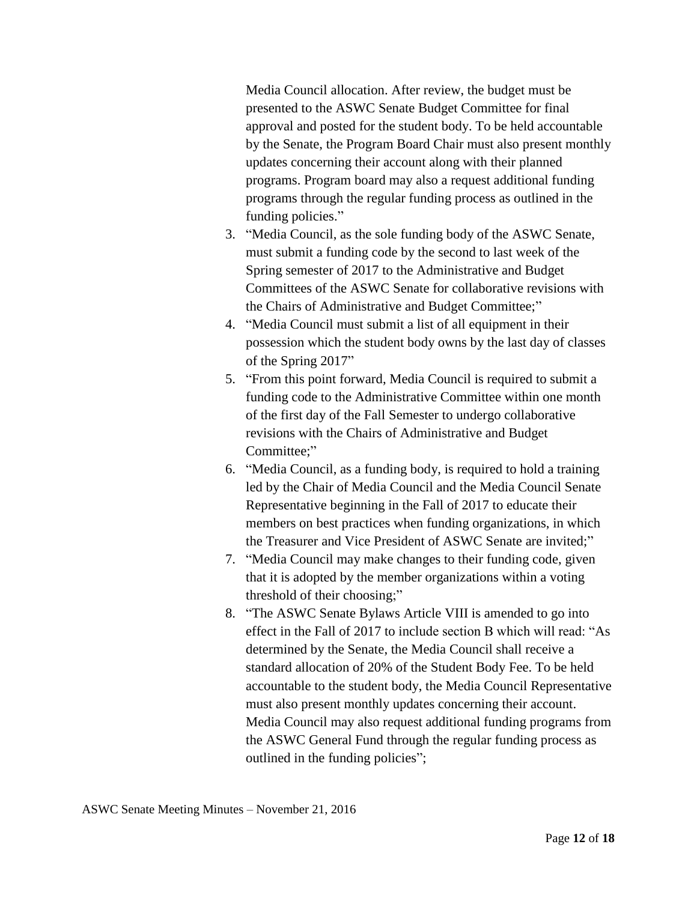Media Council allocation. After review, the budget must be presented to the ASWC Senate Budget Committee for final approval and posted for the student body. To be held accountable by the Senate, the Program Board Chair must also present monthly updates concerning their account along with their planned programs. Program board may also a request additional funding programs through the regular funding process as outlined in the funding policies."

- 3. "Media Council, as the sole funding body of the ASWC Senate, must submit a funding code by the second to last week of the Spring semester of 2017 to the Administrative and Budget Committees of the ASWC Senate for collaborative revisions with the Chairs of Administrative and Budget Committee;"
- 4. "Media Council must submit a list of all equipment in their possession which the student body owns by the last day of classes of the Spring 2017"
- 5. "From this point forward, Media Council is required to submit a funding code to the Administrative Committee within one month of the first day of the Fall Semester to undergo collaborative revisions with the Chairs of Administrative and Budget Committee:"
- 6. "Media Council, as a funding body, is required to hold a training led by the Chair of Media Council and the Media Council Senate Representative beginning in the Fall of 2017 to educate their members on best practices when funding organizations, in which the Treasurer and Vice President of ASWC Senate are invited;"
- 7. "Media Council may make changes to their funding code, given that it is adopted by the member organizations within a voting threshold of their choosing;"
- 8. "The ASWC Senate Bylaws Article VIII is amended to go into effect in the Fall of 2017 to include section B which will read: "As determined by the Senate, the Media Council shall receive a standard allocation of 20% of the Student Body Fee. To be held accountable to the student body, the Media Council Representative must also present monthly updates concerning their account. Media Council may also request additional funding programs from the ASWC General Fund through the regular funding process as outlined in the funding policies";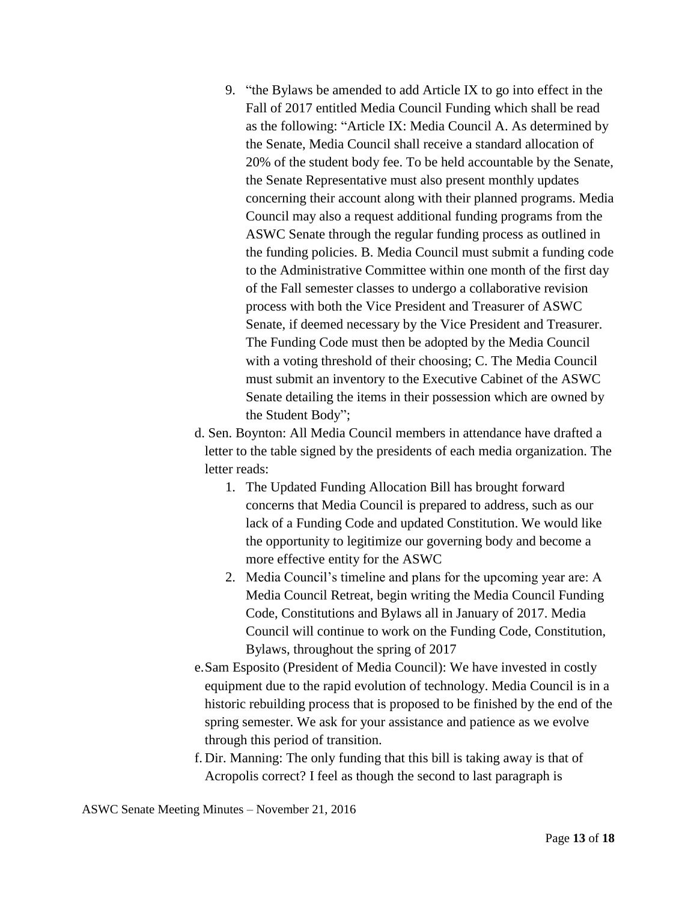9. "the Bylaws be amended to add Article IX to go into effect in the Fall of 2017 entitled Media Council Funding which shall be read as the following: "Article IX: Media Council A. As determined by the Senate, Media Council shall receive a standard allocation of 20% of the student body fee. To be held accountable by the Senate, the Senate Representative must also present monthly updates concerning their account along with their planned programs. Media Council may also a request additional funding programs from the ASWC Senate through the regular funding process as outlined in the funding policies. B. Media Council must submit a funding code to the Administrative Committee within one month of the first day of the Fall semester classes to undergo a collaborative revision process with both the Vice President and Treasurer of ASWC Senate, if deemed necessary by the Vice President and Treasurer. The Funding Code must then be adopted by the Media Council with a voting threshold of their choosing; C. The Media Council must submit an inventory to the Executive Cabinet of the ASWC Senate detailing the items in their possession which are owned by the Student Body";

d. Sen. Boynton: All Media Council members in attendance have drafted a letter to the table signed by the presidents of each media organization. The letter reads:

- 1. The Updated Funding Allocation Bill has brought forward concerns that Media Council is prepared to address, such as our lack of a Funding Code and updated Constitution. We would like the opportunity to legitimize our governing body and become a more effective entity for the ASWC
- 2. Media Council's timeline and plans for the upcoming year are: A Media Council Retreat, begin writing the Media Council Funding Code, Constitutions and Bylaws all in January of 2017. Media Council will continue to work on the Funding Code, Constitution, Bylaws, throughout the spring of 2017
- e.Sam Esposito (President of Media Council): We have invested in costly equipment due to the rapid evolution of technology. Media Council is in a historic rebuilding process that is proposed to be finished by the end of the spring semester. We ask for your assistance and patience as we evolve through this period of transition.
- f. Dir. Manning: The only funding that this bill is taking away is that of Acropolis correct? I feel as though the second to last paragraph is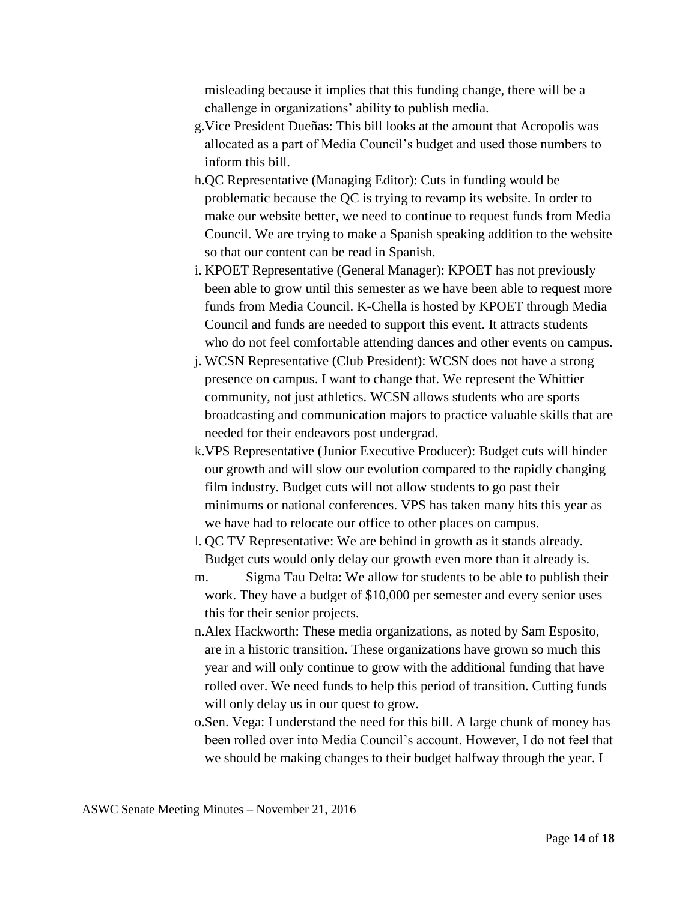misleading because it implies that this funding change, there will be a challenge in organizations' ability to publish media.

- g.Vice President Dueñas: This bill looks at the amount that Acropolis was allocated as a part of Media Council's budget and used those numbers to inform this bill.
- h.QC Representative (Managing Editor): Cuts in funding would be problematic because the QC is trying to revamp its website. In order to make our website better, we need to continue to request funds from Media Council. We are trying to make a Spanish speaking addition to the website so that our content can be read in Spanish.
- i. KPOET Representative (General Manager): KPOET has not previously been able to grow until this semester as we have been able to request more funds from Media Council. K-Chella is hosted by KPOET through Media Council and funds are needed to support this event. It attracts students who do not feel comfortable attending dances and other events on campus.
- j. WCSN Representative (Club President): WCSN does not have a strong presence on campus. I want to change that. We represent the Whittier community, not just athletics. WCSN allows students who are sports broadcasting and communication majors to practice valuable skills that are needed for their endeavors post undergrad.
- k.VPS Representative (Junior Executive Producer): Budget cuts will hinder our growth and will slow our evolution compared to the rapidly changing film industry. Budget cuts will not allow students to go past their minimums or national conferences. VPS has taken many hits this year as we have had to relocate our office to other places on campus.
- l. QC TV Representative: We are behind in growth as it stands already. Budget cuts would only delay our growth even more than it already is.
- m. Sigma Tau Delta: We allow for students to be able to publish their work. They have a budget of \$10,000 per semester and every senior uses this for their senior projects.
- n.Alex Hackworth: These media organizations, as noted by Sam Esposito, are in a historic transition. These organizations have grown so much this year and will only continue to grow with the additional funding that have rolled over. We need funds to help this period of transition. Cutting funds will only delay us in our quest to grow.
- o.Sen. Vega: I understand the need for this bill. A large chunk of money has been rolled over into Media Council's account. However, I do not feel that we should be making changes to their budget halfway through the year. I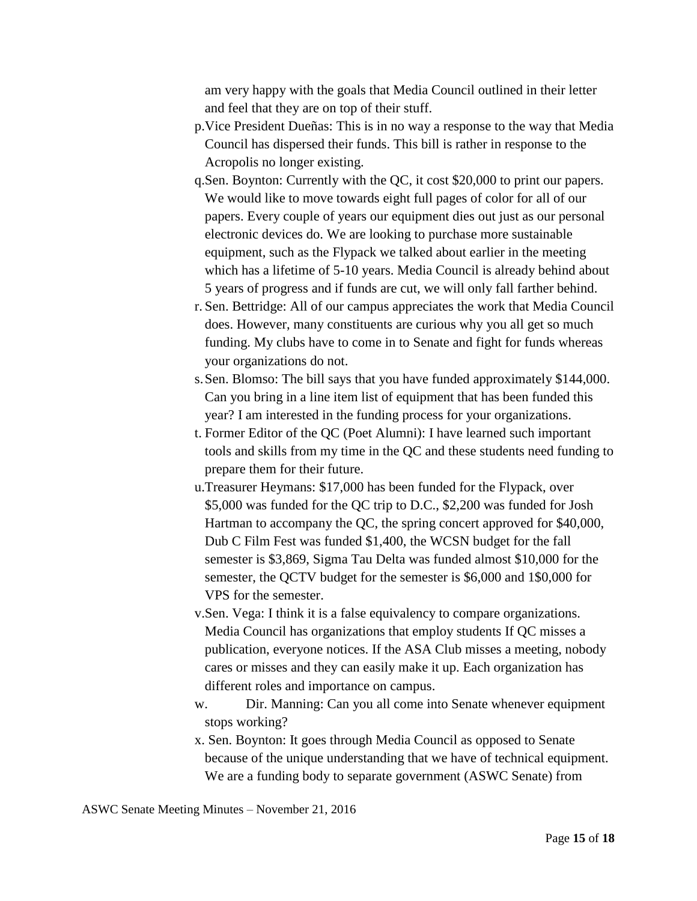am very happy with the goals that Media Council outlined in their letter and feel that they are on top of their stuff.

- p.Vice President Dueñas: This is in no way a response to the way that Media Council has dispersed their funds. This bill is rather in response to the Acropolis no longer existing.
- q.Sen. Boynton: Currently with the QC, it cost \$20,000 to print our papers. We would like to move towards eight full pages of color for all of our papers. Every couple of years our equipment dies out just as our personal electronic devices do. We are looking to purchase more sustainable equipment, such as the Flypack we talked about earlier in the meeting which has a lifetime of 5-10 years. Media Council is already behind about 5 years of progress and if funds are cut, we will only fall farther behind.
- r. Sen. Bettridge: All of our campus appreciates the work that Media Council does. However, many constituents are curious why you all get so much funding. My clubs have to come in to Senate and fight for funds whereas your organizations do not.
- s.Sen. Blomso: The bill says that you have funded approximately \$144,000. Can you bring in a line item list of equipment that has been funded this year? I am interested in the funding process for your organizations.
- t. Former Editor of the QC (Poet Alumni): I have learned such important tools and skills from my time in the QC and these students need funding to prepare them for their future.
- u.Treasurer Heymans: \$17,000 has been funded for the Flypack, over \$5,000 was funded for the QC trip to D.C., \$2,200 was funded for Josh Hartman to accompany the QC, the spring concert approved for \$40,000, Dub C Film Fest was funded \$1,400, the WCSN budget for the fall semester is \$3,869, Sigma Tau Delta was funded almost \$10,000 for the semester, the QCTV budget for the semester is \$6,000 and 1\$0,000 for VPS for the semester.
- v.Sen. Vega: I think it is a false equivalency to compare organizations. Media Council has organizations that employ students If QC misses a publication, everyone notices. If the ASA Club misses a meeting, nobody cares or misses and they can easily make it up. Each organization has different roles and importance on campus.
- w. Dir. Manning: Can you all come into Senate whenever equipment stops working?
- x. Sen. Boynton: It goes through Media Council as opposed to Senate because of the unique understanding that we have of technical equipment. We are a funding body to separate government (ASWC Senate) from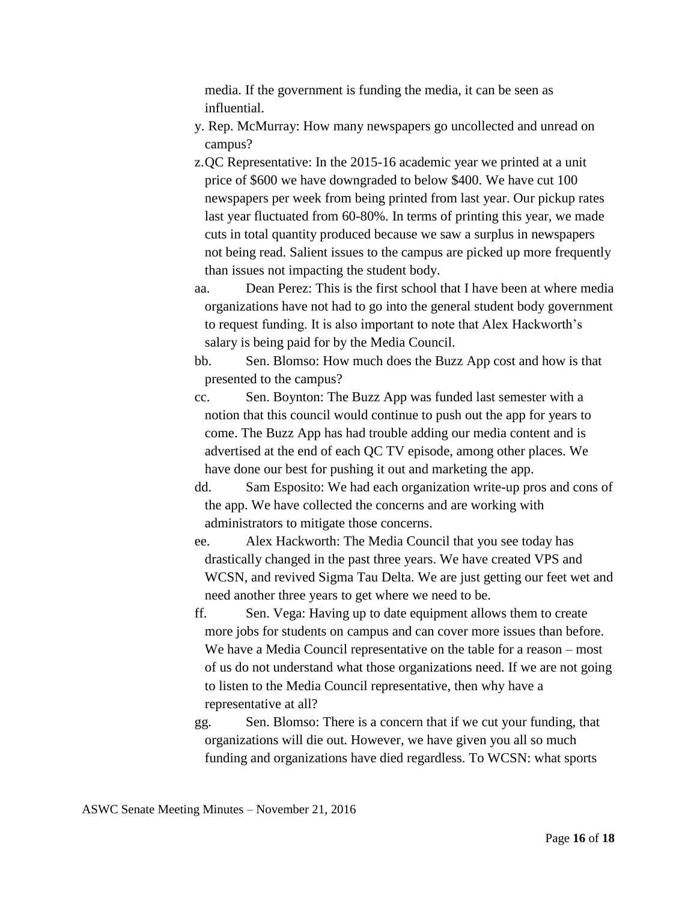media. If the government is funding the media, it can be seen as influential.

- y. Rep. McMurray: How many newspapers go uncollected and unread on campus?
- z.QC Representative: In the 2015-16 academic year we printed at a unit price of \$600 we have downgraded to below \$400. We have cut 100 newspapers per week from being printed from last year. Our pickup rates last year fluctuated from 60-80%. In terms of printing this year, we made cuts in total quantity produced because we saw a surplus in newspapers not being read. Salient issues to the campus are picked up more frequently than issues not impacting the student body.
- aa. Dean Perez: This is the first school that I have been at where media organizations have not had to go into the general student body government to request funding. It is also important to note that Alex Hackworth's salary is being paid for by the Media Council.
- bb. Sen. Blomso: How much does the Buzz App cost and how is that presented to the campus?
- cc. Sen. Boynton: The Buzz App was funded last semester with a notion that this council would continue to push out the app for years to come. The Buzz App has had trouble adding our media content and is advertised at the end of each QC TV episode, among other places. We have done our best for pushing it out and marketing the app.
- dd. Sam Esposito: We had each organization write-up pros and cons of the app. We have collected the concerns and are working with administrators to mitigate those concerns.
- ee. Alex Hackworth: The Media Council that you see today has drastically changed in the past three years. We have created VPS and WCSN, and revived Sigma Tau Delta. We are just getting our feet wet and need another three years to get where we need to be.
- ff. Sen. Vega: Having up to date equipment allows them to create more jobs for students on campus and can cover more issues than before. We have a Media Council representative on the table for a reason – most of us do not understand what those organizations need. If we are not going to listen to the Media Council representative, then why have a representative at all?
- gg. Sen. Blomso: There is a concern that if we cut your funding, that organizations will die out. However, we have given you all so much funding and organizations have died regardless. To WCSN: what sports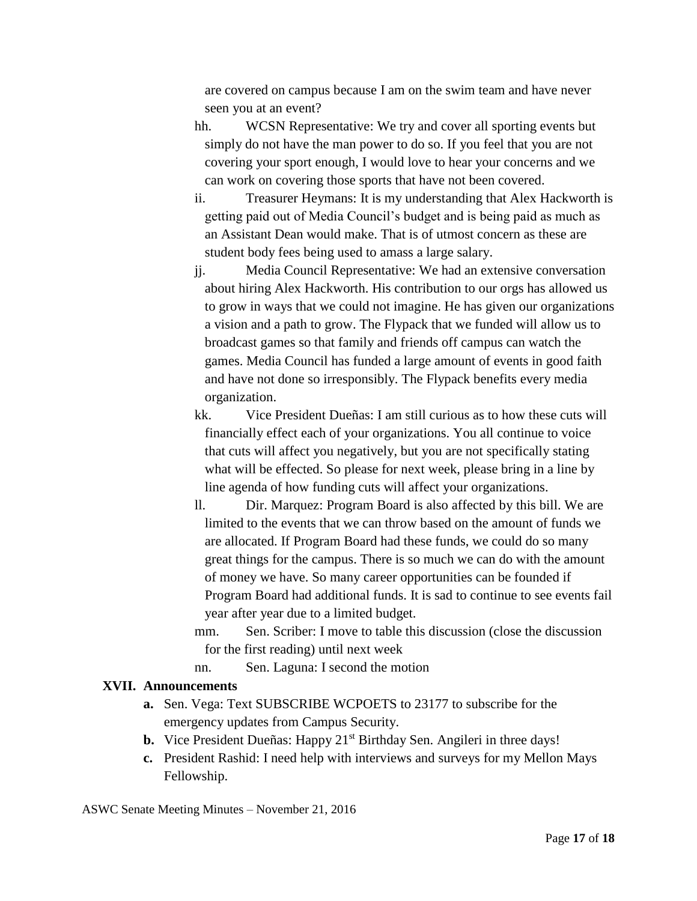are covered on campus because I am on the swim team and have never seen you at an event?

hh. WCSN Representative: We try and cover all sporting events but simply do not have the man power to do so. If you feel that you are not covering your sport enough, I would love to hear your concerns and we can work on covering those sports that have not been covered.

- ii. Treasurer Heymans: It is my understanding that Alex Hackworth is getting paid out of Media Council's budget and is being paid as much as an Assistant Dean would make. That is of utmost concern as these are student body fees being used to amass a large salary.
- jj. Media Council Representative: We had an extensive conversation about hiring Alex Hackworth. His contribution to our orgs has allowed us to grow in ways that we could not imagine. He has given our organizations a vision and a path to grow. The Flypack that we funded will allow us to broadcast games so that family and friends off campus can watch the games. Media Council has funded a large amount of events in good faith and have not done so irresponsibly. The Flypack benefits every media organization.
- kk. Vice President Dueñas: I am still curious as to how these cuts will financially effect each of your organizations. You all continue to voice that cuts will affect you negatively, but you are not specifically stating what will be effected. So please for next week, please bring in a line by line agenda of how funding cuts will affect your organizations.
- ll. Dir. Marquez: Program Board is also affected by this bill. We are limited to the events that we can throw based on the amount of funds we are allocated. If Program Board had these funds, we could do so many great things for the campus. There is so much we can do with the amount of money we have. So many career opportunities can be founded if Program Board had additional funds. It is sad to continue to see events fail year after year due to a limited budget.
- mm. Sen. Scriber: I move to table this discussion (close the discussion for the first reading) until next week
- nn. Sen. Laguna: I second the motion

#### **XVII. Announcements**

- **a.** Sen. Vega: Text SUBSCRIBE WCPOETS to 23177 to subscribe for the emergency updates from Campus Security.
- **b.** Vice President Dueñas: Happy 21<sup>st</sup> Birthday Sen. Angileri in three days!
- **c.** President Rashid: I need help with interviews and surveys for my Mellon Mays Fellowship.